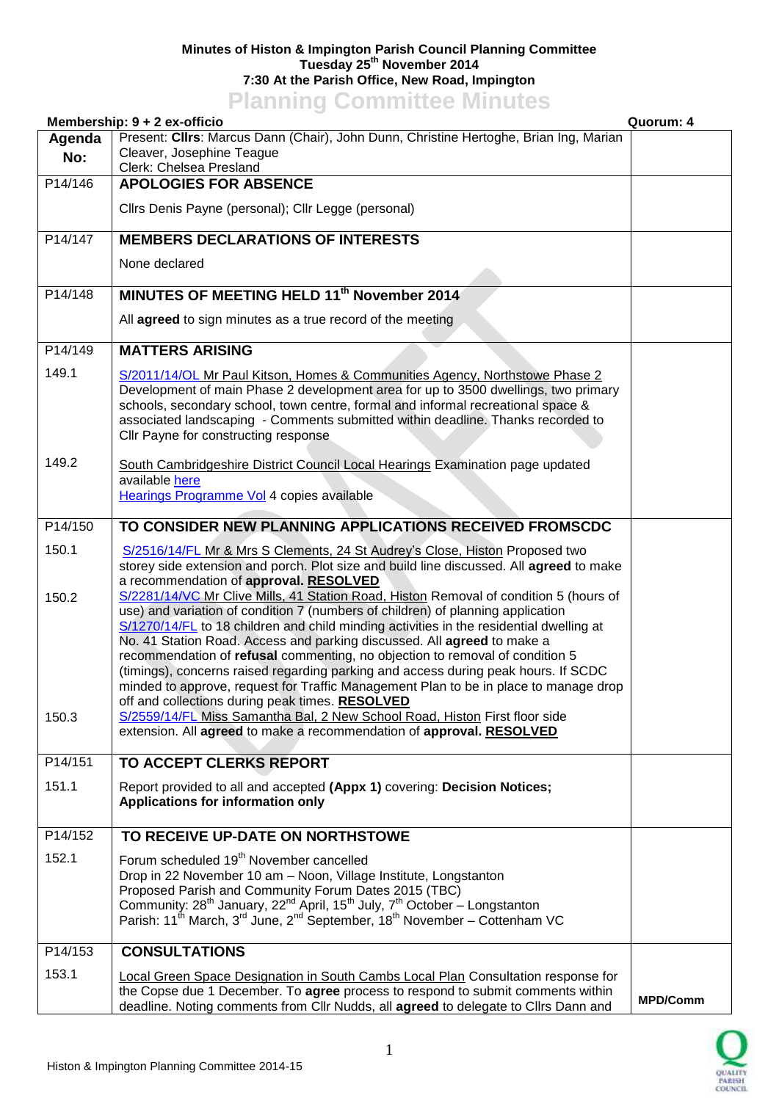## **Minutes of Histon & Impington Parish Council Planning Committee Tuesday 25th November 2014 7:30 At the Parish Office, New Road, Impington Planning Committee Minutes**

|         | <b>TRIBUTE COMMITTEE</b> MILLAGE<br>Membership: $9 + 2$ ex-officio                                                                                                                                                                                                                                                                                                                                                                                                                                                                                                     | Quorum: 4       |
|---------|------------------------------------------------------------------------------------------------------------------------------------------------------------------------------------------------------------------------------------------------------------------------------------------------------------------------------------------------------------------------------------------------------------------------------------------------------------------------------------------------------------------------------------------------------------------------|-----------------|
| Agenda  | Present: Cllrs: Marcus Dann (Chair), John Dunn, Christine Hertoghe, Brian Ing, Marian                                                                                                                                                                                                                                                                                                                                                                                                                                                                                  |                 |
| No:     | Cleaver, Josephine Teague<br>Clerk: Chelsea Presland                                                                                                                                                                                                                                                                                                                                                                                                                                                                                                                   |                 |
| P14/146 | <b>APOLOGIES FOR ABSENCE</b>                                                                                                                                                                                                                                                                                                                                                                                                                                                                                                                                           |                 |
|         | Cllrs Denis Payne (personal); Cllr Legge (personal)                                                                                                                                                                                                                                                                                                                                                                                                                                                                                                                    |                 |
| P14/147 | <b>MEMBERS DECLARATIONS OF INTERESTS</b>                                                                                                                                                                                                                                                                                                                                                                                                                                                                                                                               |                 |
|         | None declared                                                                                                                                                                                                                                                                                                                                                                                                                                                                                                                                                          |                 |
| P14/148 | MINUTES OF MEETING HELD 11 <sup>th</sup> November 2014                                                                                                                                                                                                                                                                                                                                                                                                                                                                                                                 |                 |
|         | All agreed to sign minutes as a true record of the meeting                                                                                                                                                                                                                                                                                                                                                                                                                                                                                                             |                 |
| P14/149 | <b>MATTERS ARISING</b>                                                                                                                                                                                                                                                                                                                                                                                                                                                                                                                                                 |                 |
| 149.1   | S/2011/14/OL Mr Paul Kitson, Homes & Communities Agency, Northstowe Phase 2<br>Development of main Phase 2 development area for up to 3500 dwellings, two primary<br>schools, secondary school, town centre, formal and informal recreational space &<br>associated landscaping - Comments submitted within deadline. Thanks recorded to<br>Cllr Payne for constructing response                                                                                                                                                                                       |                 |
| 149.2   | South Cambridgeshire District Council Local Hearings Examination page updated<br>available here<br>Hearings Programme Vol 4 copies available                                                                                                                                                                                                                                                                                                                                                                                                                           |                 |
| P14/150 | TO CONSIDER NEW PLANNING APPLICATIONS RECEIVED FROMSCDC                                                                                                                                                                                                                                                                                                                                                                                                                                                                                                                |                 |
| 150.1   | S/2516/14/FL Mr & Mrs S Clements, 24 St Audrey's Close, Histon Proposed two<br>storey side extension and porch. Plot size and build line discussed. All agreed to make<br>a recommendation of approval. RESOLVED<br>S/2281/14/VC Mr Clive Mills, 41 Station Road, Histon Removal of condition 5 (hours of                                                                                                                                                                                                                                                              |                 |
| 150.2   | use) and variation of condition 7 (numbers of children) of planning application<br>S/1270/14/FL to 18 children and child minding activities in the residential dwelling at<br>No. 41 Station Road. Access and parking discussed. All agreed to make a<br>recommendation of refusal commenting, no objection to removal of condition 5<br>(timings), concerns raised regarding parking and access during peak hours. If SCDC<br>minded to approve, request for Traffic Management Plan to be in place to manage drop<br>off and collections during peak times. RESOLVED |                 |
| 150.3   | S/2559/14/FL Miss Samantha Bal, 2 New School Road, Histon First floor side<br>extension. All agreed to make a recommendation of approval. RESOLVED                                                                                                                                                                                                                                                                                                                                                                                                                     |                 |
| P14/151 | TO ACCEPT CLERKS REPORT                                                                                                                                                                                                                                                                                                                                                                                                                                                                                                                                                |                 |
| 151.1   | Report provided to all and accepted (Appx 1) covering: Decision Notices;<br>Applications for information only                                                                                                                                                                                                                                                                                                                                                                                                                                                          |                 |
| P14/152 | TO RECEIVE UP-DATE ON NORTHSTOWE                                                                                                                                                                                                                                                                                                                                                                                                                                                                                                                                       |                 |
| 152.1   | Forum scheduled 19 <sup>th</sup> November cancelled                                                                                                                                                                                                                                                                                                                                                                                                                                                                                                                    |                 |
|         | Drop in 22 November 10 am - Noon, Village Institute, Longstanton<br>Proposed Parish and Community Forum Dates 2015 (TBC)<br>Community: 28 <sup>th</sup> January, 22 <sup>nd</sup> April, 15 <sup>th</sup> July, 7 <sup>th</sup> October – Longstanton<br>Parish: 11 <sup>th</sup> March, 3 <sup>rd</sup> June, 2 <sup>nd</sup> September, 18 <sup>th</sup> November – Cottenham VC                                                                                                                                                                                     |                 |
| P14/153 | <b>CONSULTATIONS</b>                                                                                                                                                                                                                                                                                                                                                                                                                                                                                                                                                   |                 |
| 153.1   | <b>Local Green Space Designation in South Cambs Local Plan Consultation response for</b><br>the Copse due 1 December. To agree process to respond to submit comments within                                                                                                                                                                                                                                                                                                                                                                                            | <b>MPD/Comm</b> |
|         | deadline. Noting comments from Cllr Nudds, all agreed to delegate to Cllrs Dann and                                                                                                                                                                                                                                                                                                                                                                                                                                                                                    |                 |